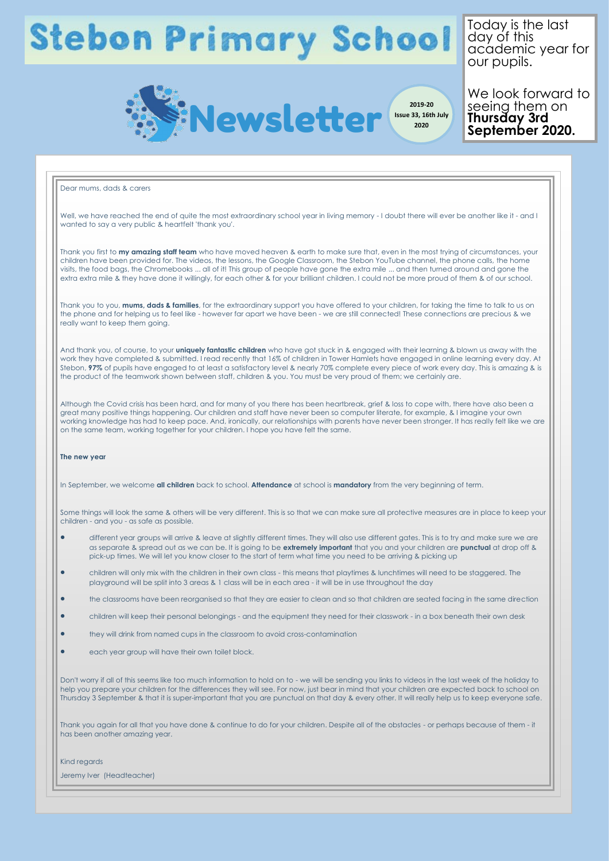## **Stebon Primary School**

 $\overline{1}$ oday is the last uuy ol iniis<br>academic vear fr acadomic your ror<br>our pupils. home Today is the last day of this academic year for



**Issue 33, 16th July 2020**

We look forward to we look forward<br>seeing them on young mom on<br>Thursday 3rd symptoms. **September 2020.** seeing them on **Thursday 3rd** 

## Dear mums, dads & carers Well, we have reached the end of quite the most extraordinary school year in living memory - I doubt there will ever be another like it - and I wanted to say a very public & heartfelt 'thank you'. Thank you first to **my amazing staff team** who have moved heaven & earth to make sure that, even in the most trying of circumstances, your children have been provided for. The videos, the lessons, the Google Classroom, the Stebon YouTube channel, the phone calls, the home visits, the food bags, the Chromebooks ... all of it! This group of people have gone the extra mile ... and then turned around and gone the extra extra mile & they have done it willingly, for each other & for your brilliant children. I could not be more proud of them & of our school. Thank you to you, **mums, dads & families**, for the extraordinary support you have offered to your children, for taking the time to talk to us on the phone and for helping us to feel like - however far apart we have been - we are still connected! These connections are precious & we really want to keep them going. And thank you, of course, to your **uniquely fantastic children** who have got stuck in & engaged with their learning & blown us away with the work they have completed & submitted. I read recently that 16% of children in Tower Hamlets have engaged in online learning every day. At Stebon, **97%** of pupils have engaged to at least a satisfactory level & nearly 70% complete every piece of work every day. This is amazing & is the product of the teamwork shown between staff, children & you. You must be very proud of them; we certainly are. Although the Covid crisis has been hard, and for many of you there has been heartbreak, grief & loss to cope with, there have also been a great many positive things happening. Our children and staff have never been so computer literate, for example, & I imagine your own working knowledge has had to keep pace. And, ironically, our relationships with parents have never been stronger. It has really felt like we are on the same team, working together for your children. I hope you have felt the same. **The new year** In September, we welcome **all children** back to school. **Attendance** at school is **mandatory** from the very beginning of term. Some things will look the same & others will be very different. This is so that we can make sure all protective measures are in place to keep your children - and you - as safe as possible. different year groups will arrive & leave at slightly different times. They will also use different gates. This is to try and make sure we are as separate & spread out as we can be. It is going to be **extremely important** that you and your children are **punctual** at drop off & pick-up times. We will let you know closer to the start of term what time you need to be arriving & picking up children will only mix with the children in their own class - this means that playtimes & lunchtimes will need to be staggered. The playground will be split into 3 areas & 1 class will be in each area - it will be in use throughout the day the classrooms have been reorganised so that they are easier to clean and so that children are seated facing in the same direction children will keep their personal belongings - and the equipment they need for their classwork - in a box beneath their own desk they will drink from named cups in the classroom to avoid cross-contamination each year group will have their own toilet block. Don't worry if all of this seems like too much information to hold on to - we will be sending you links to videos in the last week of the holiday to help you prepare your children for the differences they will see. For now, just bear in mind that your children are expected back to school on Thursday 3 September & that it is super-important that you are punctual on that day & every other. It will really help us to keep everyone safe. Thank you again for all that you have done & continue to do for your children. Despite all of the obstacles - or perhaps because of them - it has been another amazing year. Kind regards Jeremy Iver (Headteacher)